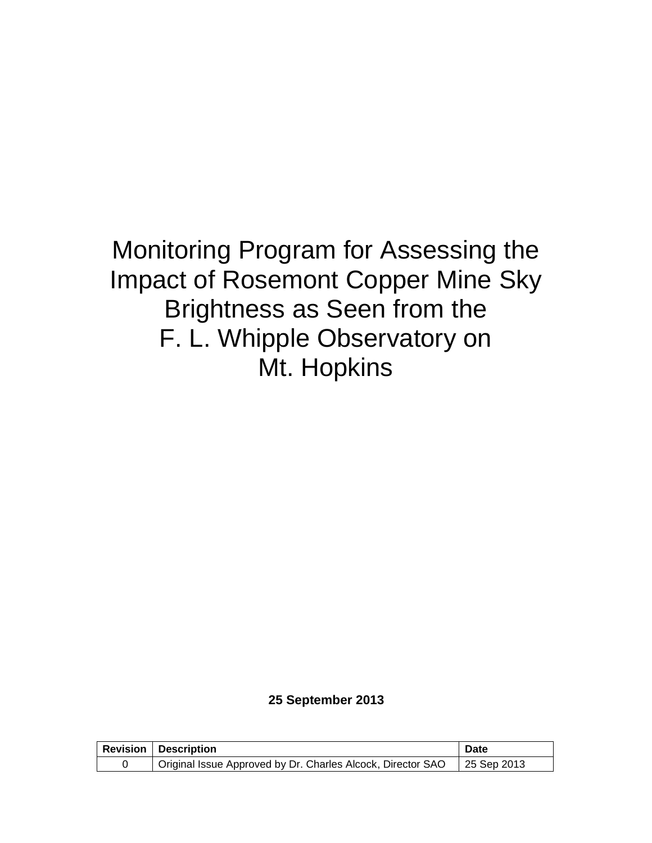# Monitoring Program for Assessing the Impact of Rosemont Copper Mine Sky Brightness as Seen from the F. L. Whipple Observatory on Mt. Hopkins

#### **25 September 2013**

| <b>Revision   Description</b>                                             | Date |
|---------------------------------------------------------------------------|------|
| Original Issue Approved by Dr. Charles Alcock, Director SAO   25 Sep 2013 |      |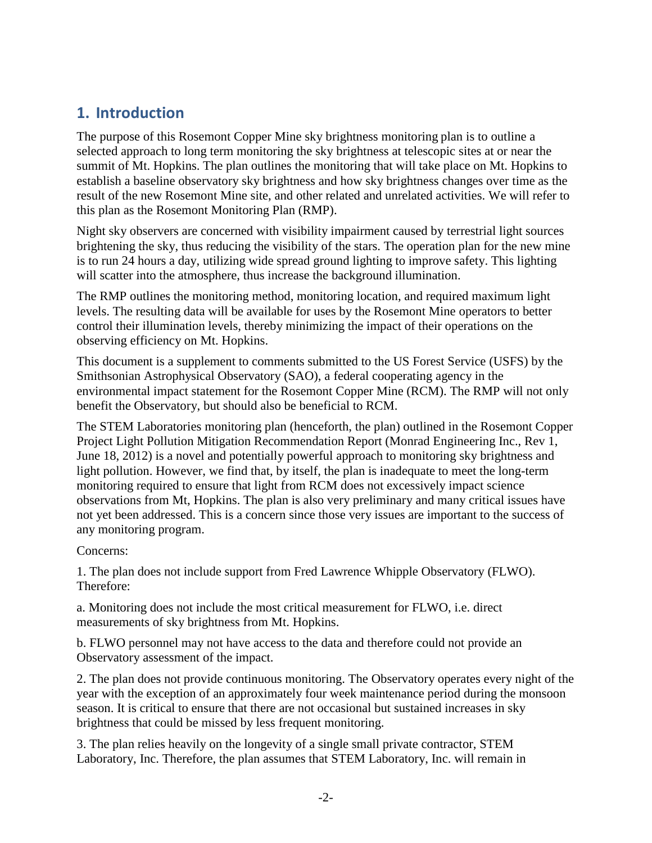### **1. Introduction**

The purpose of this Rosemont Copper Mine sky brightness monitoring plan is to outline a selected approach to long term monitoring the sky brightness at telescopic sites at or near the summit of Mt. Hopkins. The plan outlines the monitoring that will take place on Mt. Hopkins to establish a baseline observatory sky brightness and how sky brightness changes over time as the result of the new Rosemont Mine site, and other related and unrelated activities. We will refer to this plan as the Rosemont Monitoring Plan (RMP).

Night sky observers are concerned with visibility impairment caused by terrestrial light sources brightening the sky, thus reducing the visibility of the stars. The operation plan for the new mine is to run 24 hours a day, utilizing wide spread ground lighting to improve safety. This lighting will scatter into the atmosphere, thus increase the background illumination.

The RMP outlines the monitoring method, monitoring location, and required maximum light levels. The resulting data will be available for uses by the Rosemont Mine operators to better control their illumination levels, thereby minimizing the impact of their operations on the observing efficiency on Mt. Hopkins.

This document is a supplement to comments submitted to the US Forest Service (USFS) by the Smithsonian Astrophysical Observatory (SAO), a federal cooperating agency in the environmental impact statement for the Rosemont Copper Mine (RCM). The RMP will not only benefit the Observatory, but should also be beneficial to RCM.

The STEM Laboratories monitoring plan (henceforth, the plan) outlined in the Rosemont Copper Project Light Pollution Mitigation Recommendation Report (Monrad Engineering Inc., Rev 1, June 18, 2012) is a novel and potentially powerful approach to monitoring sky brightness and light pollution. However, we find that, by itself, the plan is inadequate to meet the long-term monitoring required to ensure that light from RCM does not excessively impact science observations from Mt, Hopkins. The plan is also very preliminary and many critical issues have not yet been addressed. This is a concern since those very issues are important to the success of any monitoring program.

Concerns:

1. The plan does not include support from Fred Lawrence Whipple Observatory (FLWO). Therefore:

a. Monitoring does not include the most critical measurement for FLWO, i.e. direct measurements of sky brightness from Mt. Hopkins.

b. FLWO personnel may not have access to the data and therefore could not provide an Observatory assessment of the impact.

2. The plan does not provide continuous monitoring. The Observatory operates every night of the year with the exception of an approximately four week maintenance period during the monsoon season. It is critical to ensure that there are not occasional but sustained increases in sky brightness that could be missed by less frequent monitoring.

3. The plan relies heavily on the longevity of a single small private contractor, STEM Laboratory, Inc. Therefore, the plan assumes that STEM Laboratory, Inc. will remain in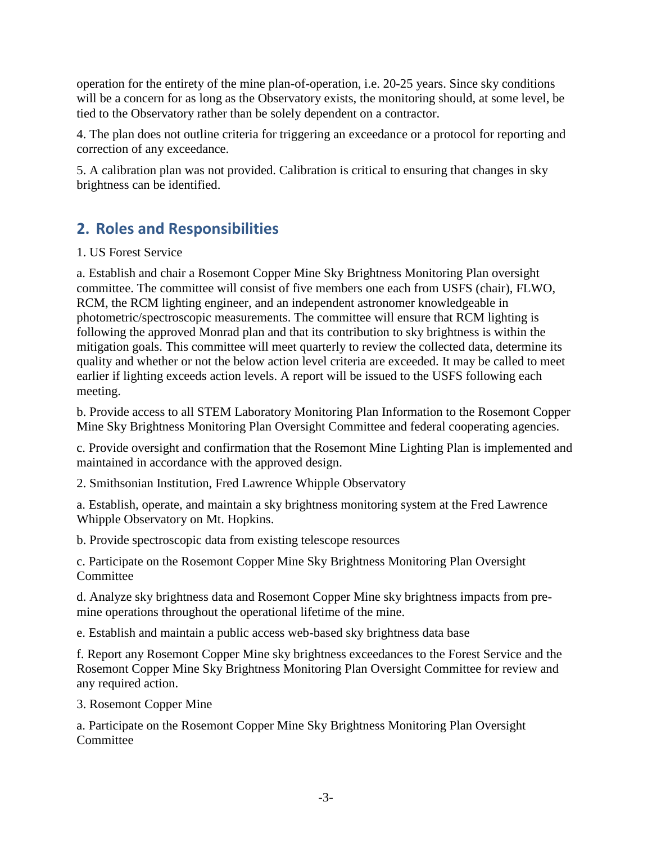operation for the entirety of the mine plan-of-operation, i.e. 20-25 years. Since sky conditions will be a concern for as long as the Observatory exists, the monitoring should, at some level, be tied to the Observatory rather than be solely dependent on a contractor.

4. The plan does not outline criteria for triggering an exceedance or a protocol for reporting and correction of any exceedance.

5. A calibration plan was not provided. Calibration is critical to ensuring that changes in sky brightness can be identified.

# **2. Roles and Responsibilities**

### 1. US Forest Service

a. Establish and chair a Rosemont Copper Mine Sky Brightness Monitoring Plan oversight committee. The committee will consist of five members one each from USFS (chair), FLWO, RCM, the RCM lighting engineer, and an independent astronomer knowledgeable in photometric/spectroscopic measurements. The committee will ensure that RCM lighting is following the approved Monrad plan and that its contribution to sky brightness is within the mitigation goals. This committee will meet quarterly to review the collected data, determine its quality and whether or not the below action level criteria are exceeded. It may be called to meet earlier if lighting exceeds action levels. A report will be issued to the USFS following each meeting.

b. Provide access to all STEM Laboratory Monitoring Plan Information to the Rosemont Copper Mine Sky Brightness Monitoring Plan Oversight Committee and federal cooperating agencies.

c. Provide oversight and confirmation that the Rosemont Mine Lighting Plan is implemented and maintained in accordance with the approved design.

2. Smithsonian Institution, Fred Lawrence Whipple Observatory

a. Establish, operate, and maintain a sky brightness monitoring system at the Fred Lawrence Whipple Observatory on Mt. Hopkins.

b. Provide spectroscopic data from existing telescope resources

c. Participate on the Rosemont Copper Mine Sky Brightness Monitoring Plan Oversight **Committee** 

d. Analyze sky brightness data and Rosemont Copper Mine sky brightness impacts from premine operations throughout the operational lifetime of the mine.

e. Establish and maintain a public access web-based sky brightness data base

f. Report any Rosemont Copper Mine sky brightness exceedances to the Forest Service and the Rosemont Copper Mine Sky Brightness Monitoring Plan Oversight Committee for review and any required action.

3. Rosemont Copper Mine

a. Participate on the Rosemont Copper Mine Sky Brightness Monitoring Plan Oversight **Committee**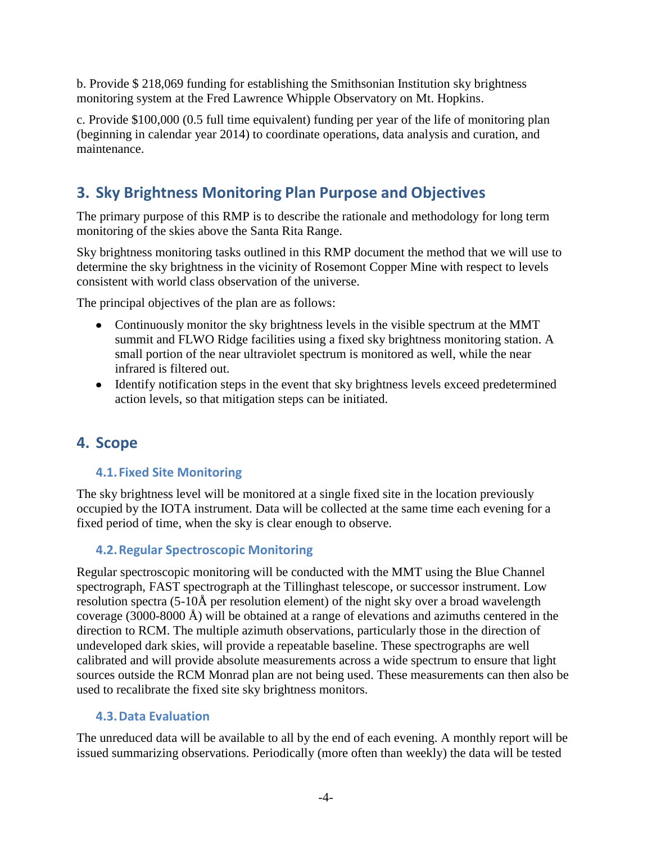b. Provide \$ 218,069 funding for establishing the Smithsonian Institution sky brightness monitoring system at the Fred Lawrence Whipple Observatory on Mt. Hopkins.

c. Provide \$100,000 (0.5 full time equivalent) funding per year of the life of monitoring plan (beginning in calendar year 2014) to coordinate operations, data analysis and curation, and maintenance.

# **3. Sky Brightness Monitoring Plan Purpose and Objectives**

The primary purpose of this RMP is to describe the rationale and methodology for long term monitoring of the skies above the Santa Rita Range.

Sky brightness monitoring tasks outlined in this RMP document the method that we will use to determine the sky brightness in the vicinity of Rosemont Copper Mine with respect to levels consistent with world class observation of the universe.

The principal objectives of the plan are as follows:

- Continuously monitor the sky brightness levels in the visible spectrum at the MMT summit and FLWO Ridge facilities using a fixed sky brightness monitoring station. A small portion of the near ultraviolet spectrum is monitored as well, while the near infrared is filtered out.
- Identify notification steps in the event that sky brightness levels exceed predetermined action levels, so that mitigation steps can be initiated.

### **4. Scope**

### **4.1.Fixed Site Monitoring**

The sky brightness level will be monitored at a single fixed site in the location previously occupied by the IOTA instrument. Data will be collected at the same time each evening for a fixed period of time, when the sky is clear enough to observe.

### **4.2.Regular Spectroscopic Monitoring**

Regular spectroscopic monitoring will be conducted with the MMT using the Blue Channel spectrograph, FAST spectrograph at the Tillinghast telescope, or successor instrument. Low resolution spectra (5-10Å per resolution element) of the night sky over a broad wavelength coverage (3000-8000  $\AA$ ) will be obtained at a range of elevations and azimuths centered in the direction to RCM. The multiple azimuth observations, particularly those in the direction of undeveloped dark skies, will provide a repeatable baseline. These spectrographs are well calibrated and will provide absolute measurements across a wide spectrum to ensure that light sources outside the RCM Monrad plan are not being used. These measurements can then also be used to recalibrate the fixed site sky brightness monitors.

### **4.3.Data Evaluation**

The unreduced data will be available to all by the end of each evening. A monthly report will be issued summarizing observations. Periodically (more often than weekly) the data will be tested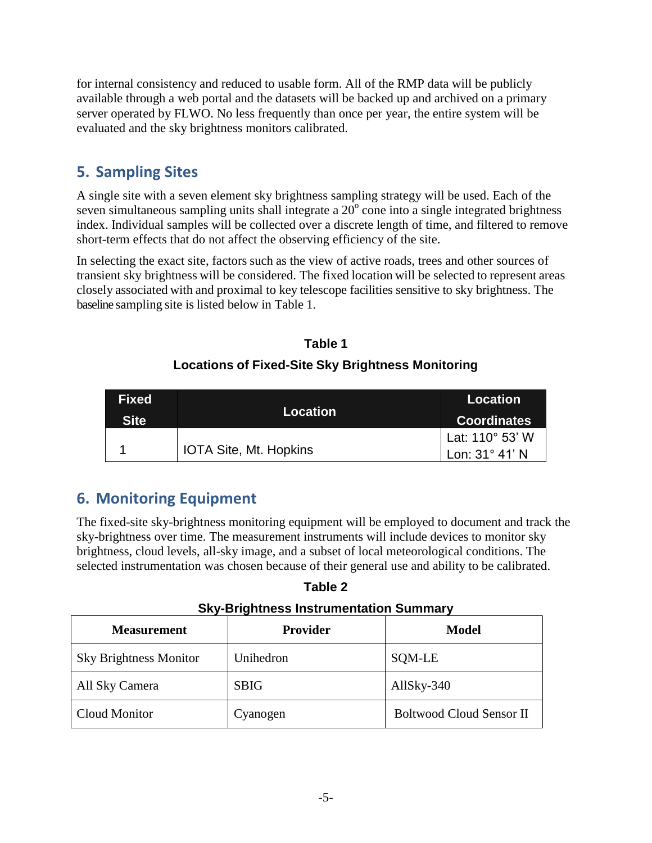for internal consistency and reduced to usable form. All of the RMP data will be publicly available through a web portal and the datasets will be backed up and archived on a primary server operated by FLWO. No less frequently than once per year, the entire system will be evaluated and the sky brightness monitors calibrated.

# **5. Sampling Sites**

A single site with a seven element sky brightness sampling strategy will be used. Each of the seven simultaneous sampling units shall integrate a  $20^{\circ}$  cone into a single integrated brightness index. Individual samples will be collected over a discrete length of time, and filtered to remove short-term effects that do not affect the observing efficiency of the site.

In selecting the exact site, factors such as the view of active roads, trees and other sources of transient sky brightness will be considered. The fixed location will be selected to represent areas closely associated with and proximal to key telescope facilities sensitive to sky brightness. The baseline sampling site is listed below in Table 1.

| <b>Fixed</b><br><b>Site</b> | <b>Location</b>               | Location <sup>1</sup><br><b>Coordinates</b> |
|-----------------------------|-------------------------------|---------------------------------------------|
|                             | <b>IOTA Site, Mt. Hopkins</b> | Lat: 110° 53' W<br>Lon: $31^\circ$ 41' N    |

### **Table 1 Locations of Fixed-Site Sky Brightness Monitoring**

# **6. Monitoring Equipment**

The fixed-site sky-brightness monitoring equipment will be employed to document and track the sky-brightness over time. The measurement instruments will include devices to monitor sky brightness, cloud levels, all-sky image, and a subset of local meteorological conditions. The selected instrumentation was chosen because of their general use and ability to be calibrated.

**Table 2**

**Sky-Brightness Instrumentation Summary**

| <b>Measurement</b>            | <b>Provider</b> | <b>Model</b>                    |
|-------------------------------|-----------------|---------------------------------|
| <b>Sky Brightness Monitor</b> | Unihedron       | SQM-LE                          |
| All Sky Camera                | <b>SBIG</b>     | AllSky-340                      |
| Cloud Monitor                 | Cyanogen        | <b>Boltwood Cloud Sensor II</b> |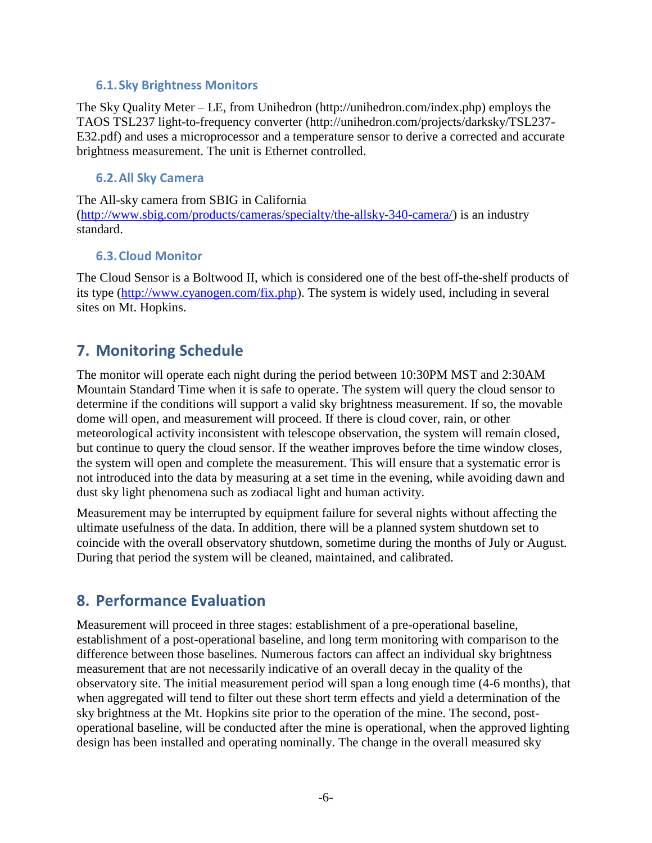#### **6.1.Sky Brightness Monitors**

The Sky Quality Meter – LE, from Unihedron (http://unihedron.com/index.php) employs the TAOS TSL237 light-to-frequency converter (http://unihedron.com/projects/darksky/TSL237- E32.pdf) and uses a microprocessor and a temperature sensor to derive a corrected and accurate brightness measurement. The unit is Ethernet controlled.

#### **6.2.All Sky Camera**

The All-sky camera from SBIG in California [\(http://www.sbig.com/products/cameras/specialty/the-allsky-340-camera/\)](http://www.sbig.com/products/cameras/specialty/the-allsky-340-camera/) is an industry standard.

### **6.3.Cloud Monitor**

The Cloud Sensor is a Boltwood II, which is considered one of the best off-the-shelf products of its type [\(http://www.cyanogen.com/fix.php\)](http://www.cyanogen.com/fix.php). The system is widely used, including in several sites on Mt. Hopkins.

### **7. Monitoring Schedule**

The monitor will operate each night during the period between 10:30PM MST and 2:30AM Mountain Standard Time when it is safe to operate. The system will query the cloud sensor to determine if the conditions will support a valid sky brightness measurement. If so, the movable dome will open, and measurement will proceed. If there is cloud cover, rain, or other meteorological activity inconsistent with telescope observation, the system will remain closed, but continue to query the cloud sensor. If the weather improves before the time window closes, the system will open and complete the measurement. This will ensure that a systematic error is not introduced into the data by measuring at a set time in the evening, while avoiding dawn and dust sky light phenomena such as zodiacal light and human activity.

Measurement may be interrupted by equipment failure for several nights without affecting the ultimate usefulness of the data. In addition, there will be a planned system shutdown set to coincide with the overall observatory shutdown, sometime during the months of July or August. During that period the system will be cleaned, maintained, and calibrated.

### **8. Performance Evaluation**

Measurement will proceed in three stages: establishment of a pre-operational baseline, establishment of a post-operational baseline, and long term monitoring with comparison to the difference between those baselines. Numerous factors can affect an individual sky brightness measurement that are not necessarily indicative of an overall decay in the quality of the observatory site. The initial measurement period will span a long enough time (4-6 months), that when aggregated will tend to filter out these short term effects and yield a determination of the sky brightness at the Mt. Hopkins site prior to the operation of the mine. The second, postoperational baseline, will be conducted after the mine is operational, when the approved lighting design has been installed and operating nominally. The change in the overall measured sky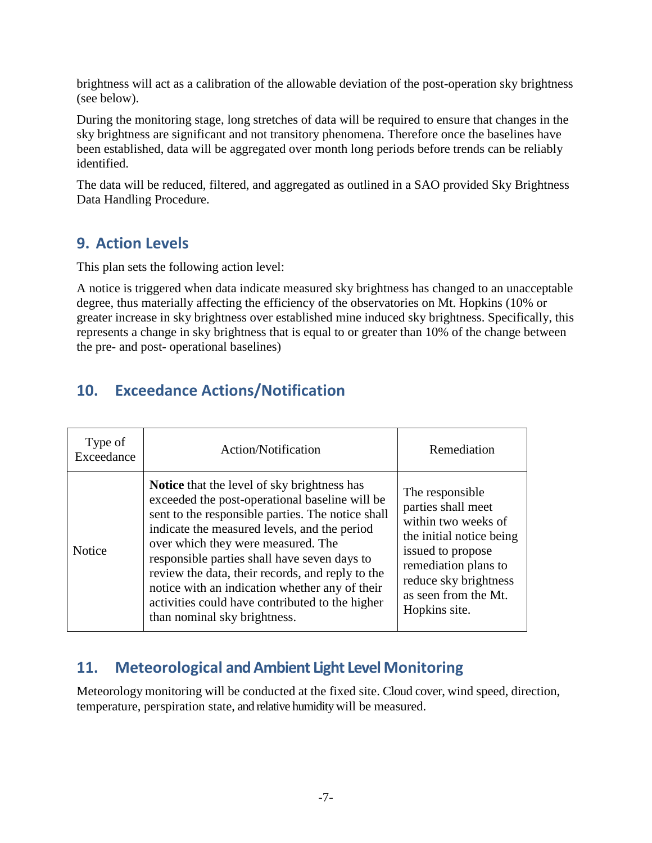brightness will act as a calibration of the allowable deviation of the post-operation sky brightness (see below).

During the monitoring stage, long stretches of data will be required to ensure that changes in the sky brightness are significant and not transitory phenomena. Therefore once the baselines have been established, data will be aggregated over month long periods before trends can be reliably identified.

The data will be reduced, filtered, and aggregated as outlined in a SAO provided Sky Brightness Data Handling Procedure.

### **9. Action Levels**

This plan sets the following action level:

A notice is triggered when data indicate measured sky brightness has changed to an unacceptable degree, thus materially affecting the efficiency of the observatories on Mt. Hopkins (10% or greater increase in sky brightness over established mine induced sky brightness. Specifically, this represents a change in sky brightness that is equal to or greater than 10% of the change between the pre- and post- operational baselines)

# **10. Exceedance Actions/Notification**

| Type of<br>Exceedance | Action/Notification                                                                                                                                                                                                                                                                                                                                                                                                                                                                      | Remediation                                                                                                                                                                                             |
|-----------------------|------------------------------------------------------------------------------------------------------------------------------------------------------------------------------------------------------------------------------------------------------------------------------------------------------------------------------------------------------------------------------------------------------------------------------------------------------------------------------------------|---------------------------------------------------------------------------------------------------------------------------------------------------------------------------------------------------------|
| Notice                | <b>Notice</b> that the level of sky brightness has<br>exceeded the post-operational baseline will be<br>sent to the responsible parties. The notice shall<br>indicate the measured levels, and the period<br>over which they were measured. The<br>responsible parties shall have seven days to<br>review the data, their records, and reply to the<br>notice with an indication whether any of their<br>activities could have contributed to the higher<br>than nominal sky brightness. | The responsible<br>parties shall meet<br>within two weeks of<br>the initial notice being<br>issued to propose<br>remediation plans to<br>reduce sky brightness<br>as seen from the Mt.<br>Hopkins site. |

### **11. Meteorological and Ambient Light Level Monitoring**

Meteorology monitoring will be conducted at the fixed site. Cloud cover, wind speed, direction, temperature, perspiration state, and relative humidity will be measured.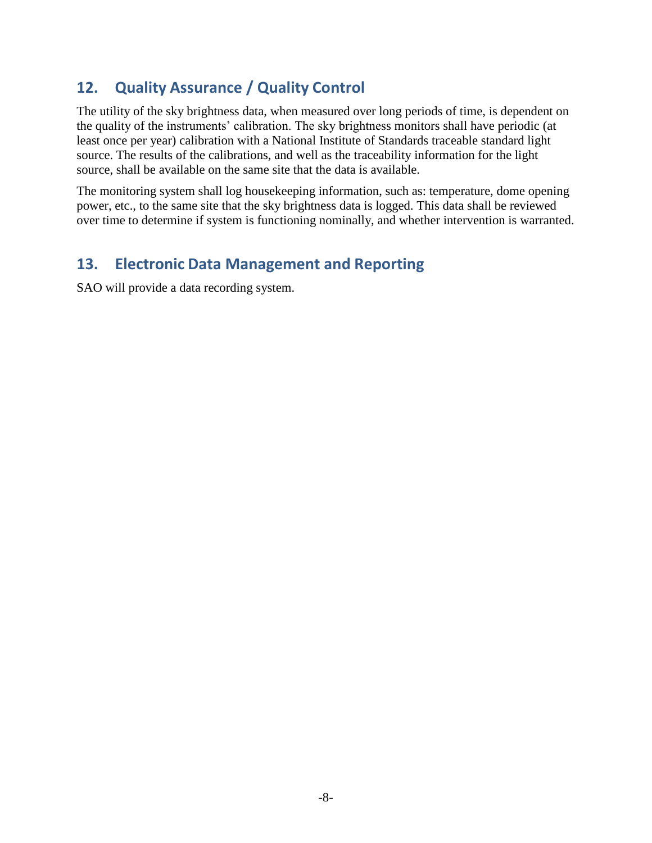### **12. Quality Assurance / Quality Control**

The utility of the sky brightness data, when measured over long periods of time, is dependent on the quality of the instruments' calibration. The sky brightness monitors shall have periodic (at least once per year) calibration with a National Institute of Standards traceable standard light source. The results of the calibrations, and well as the traceability information for the light source, shall be available on the same site that the data is available.

The monitoring system shall log housekeeping information, such as: temperature, dome opening power, etc., to the same site that the sky brightness data is logged. This data shall be reviewed over time to determine if system is functioning nominally, and whether intervention is warranted.

### **13. Electronic Data Management and Reporting**

SAO will provide a data recording system.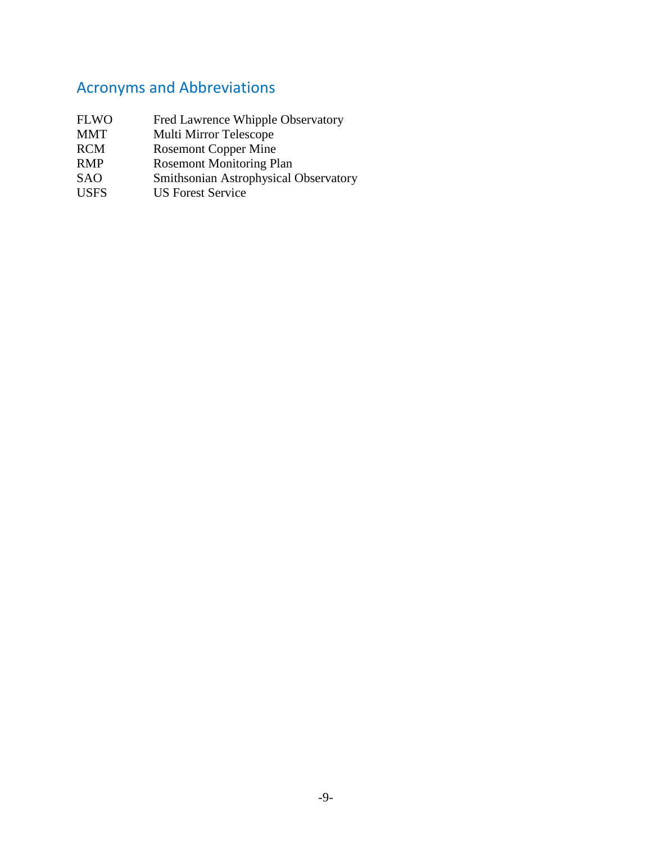# Acronyms and Abbreviations

- FLWO Fred Lawrence Whipple Observatory MMT Multi Mirror Telescope RCM Rosemont Copper Mine RMP Rosemont Monitoring Plan
- SAO Smithsonian Astrophysical Observatory
- USFS US Forest Service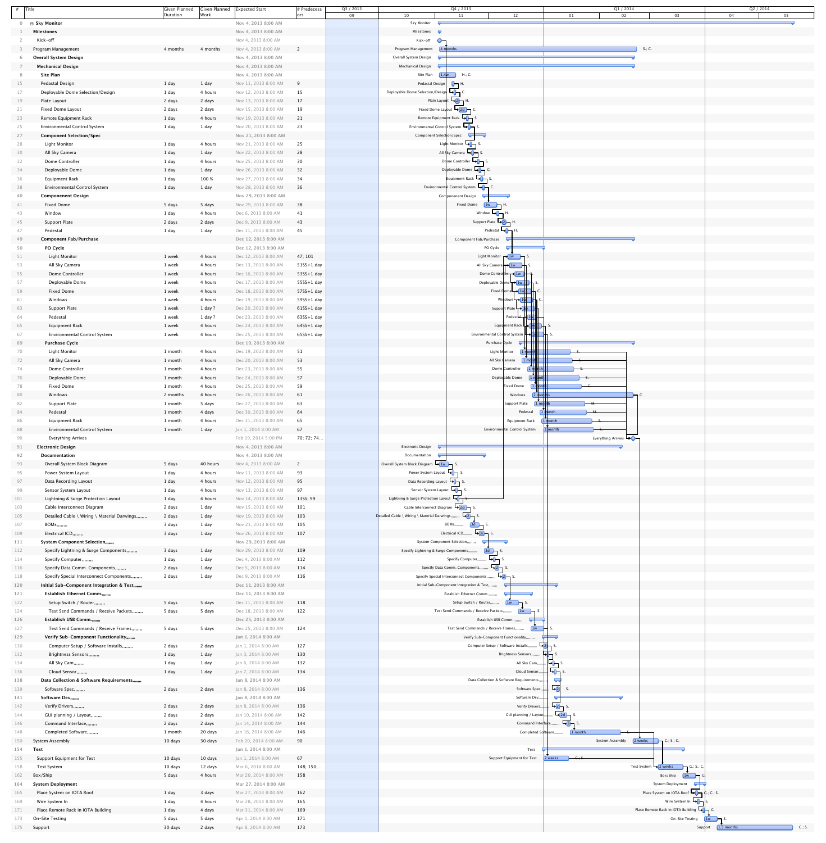|            | $#$ Title                                                                | Given Planned<br>Duration | Given Planned<br>Work | Expected Start                               | $#$ Predecess<br> ors | Q3 / 2013<br>09 | 10                                                            | Q2 / 2014<br>Q4 / 2013<br>Q1 / 2014<br>12<br>02<br>01<br>03<br>04<br>05<br>11                                                                                                                                                                                                                                                                             |
|------------|--------------------------------------------------------------------------|---------------------------|-----------------------|----------------------------------------------|-----------------------|-----------------|---------------------------------------------------------------|-----------------------------------------------------------------------------------------------------------------------------------------------------------------------------------------------------------------------------------------------------------------------------------------------------------------------------------------------------------|
|            | □ Sky Monitor                                                            |                           |                       | Nov 4, 2013 8:00 AM                          |                       |                 | <b>Sky Monitor</b>                                            |                                                                                                                                                                                                                                                                                                                                                           |
|            | <b>Milestones</b>                                                        |                           |                       | Nov 4, 2013 8:00 AM                          |                       |                 | Milestones <b>T</b>                                           |                                                                                                                                                                                                                                                                                                                                                           |
|            | Kick-off                                                                 |                           |                       | Nov 4, 2013 8:00 AM                          |                       |                 | Kick-off                                                      |                                                                                                                                                                                                                                                                                                                                                           |
|            | Program Management                                                       | 4 months                  | 4 months              | Nov 4, 2013 8:00 AM                          | $\overline{2}$        |                 | Program Management                                            | $S.$ ; C.<br>4 months                                                                                                                                                                                                                                                                                                                                     |
|            | <b>Overall System Design</b>                                             |                           |                       | Nov 4, 2013 8:00 AM                          |                       |                 | Overall System Design                                         |                                                                                                                                                                                                                                                                                                                                                           |
|            | <b>Mechanical Design</b>                                                 |                           |                       | Nov 4, 2013 8:00 AM                          |                       |                 | Mechanical Design                                             |                                                                                                                                                                                                                                                                                                                                                           |
|            | <b>Site Plan</b>                                                         |                           |                       | Nov 4, 2013 8:00 AM                          |                       |                 | Site Plan                                                     | $1.4w$ H.; C.                                                                                                                                                                                                                                                                                                                                             |
| 15         | Pedastal Design                                                          | 1 day                     | 1 day                 | Nov 11, 2013 8:00 AM                         | 9                     |                 | Pedastal Design                                               |                                                                                                                                                                                                                                                                                                                                                           |
| 17         | Deployable Dome Selection/Design                                         | 1 day                     | 4 hours               | Nov 12, 2013 8:00 AM                         | 15                    |                 | Deployable Dome Selection/Design →D                           | U¬ <sup>H</sup>                                                                                                                                                                                                                                                                                                                                           |
| 19         |                                                                          |                           |                       | Nov 13, 2013 8:00 AM                         | 17                    |                 |                                                               | Plate Layout $\overline{L_2}$ H.                                                                                                                                                                                                                                                                                                                          |
|            | Plate Layout                                                             | 2 days                    | 2 days                | Nov 15, 2013 8:00 AM                         | 19                    |                 |                                                               | Fixed Dome Layout $\rightarrow$ 2d $\rightarrow$ C.                                                                                                                                                                                                                                                                                                       |
| 21         | Fixed Dome Layout                                                        | 2 days                    | 2 days                |                                              |                       |                 |                                                               | Remote Equipment Rack <b>Langlery</b> S.                                                                                                                                                                                                                                                                                                                  |
| 23         | Remote Equipment Rack                                                    | 1 day                     | 4 hours               | Nov 19, 2013 8:00 AM                         | 21                    |                 |                                                               |                                                                                                                                                                                                                                                                                                                                                           |
| 25         | <b>Environmental Control System</b>                                      | 1 day                     | $1$ day               | Nov 20, 2013 8:00 AM                         | 23                    |                 | Environmental Control System $\Box$                           |                                                                                                                                                                                                                                                                                                                                                           |
| 27         | <b>Component Selection/Spec</b>                                          |                           |                       | Nov 21, 2013 8:00 AM                         |                       |                 | Component Selection/Spec                                      |                                                                                                                                                                                                                                                                                                                                                           |
| 28         | <b>Light Monitor</b>                                                     | 1 day                     | 4 hours               | Nov 21, 2013 8:00 AM                         | 25                    |                 |                                                               | Light Monitor →1→1                                                                                                                                                                                                                                                                                                                                        |
| 30         | All Sky Camera                                                           | 1 day                     | 1 day                 | Nov 22, 2013 8:00 AM                         | 28                    |                 |                                                               | All sky Camera <b>Longery</b> S.                                                                                                                                                                                                                                                                                                                          |
| 32         | Dome Controller                                                          | 1 day                     | 4 hours               | Nov 25, 2013 8:00 AM                         | 30                    |                 |                                                               | Dome Controller $\bigoplus$ S                                                                                                                                                                                                                                                                                                                             |
| 34         | Deployable Dome                                                          | 1 day                     | 1 day                 | Nov 26, 2013 8:00 AM                         | 32                    |                 |                                                               | Deployable Dome $\Box$ C.                                                                                                                                                                                                                                                                                                                                 |
| 36         | <b>Equipment Rack</b>                                                    | 1 day                     | 100 %                 | Nov 27, 2013 8:00 AM                         | 34                    |                 |                                                               | Equipment Rack <b>LO</b> S.                                                                                                                                                                                                                                                                                                                               |
| 38         | <b>Environmental Control System</b>                                      | 1 day                     | 1 day                 | Nov 28, 2013 8:00 AM                         | 36                    |                 |                                                               | Environmental Control System <b>Light</b> C.                                                                                                                                                                                                                                                                                                              |
| 40         | <b>Componenent Design</b>                                                |                           |                       | Nov 29, 2013 8:00 AM                         |                       |                 |                                                               | Componenent Design                                                                                                                                                                                                                                                                                                                                        |
| 41         | <b>Fixed Dome</b>                                                        | 5 days                    | 5 days                | Nov 29, 2013 8:00 AM                         | 38                    |                 |                                                               | <b>Fixed Dome</b><br>$1w$ $\Box$ H.                                                                                                                                                                                                                                                                                                                       |
| 43         | Window                                                                   | 1 day                     | 4 hours               | Dec 6, 2013 8:00 AM                          | 41                    |                 |                                                               | Window $\bigoplus$ +                                                                                                                                                                                                                                                                                                                                      |
| 45         | Support Plate                                                            | 2 days                    | 2 days                | Dec 9, 2013 8:00 AM                          | 43                    |                 |                                                               | Support Plate $\bigcup_{2}$ H.                                                                                                                                                                                                                                                                                                                            |
| 47         | Pedestal                                                                 | 1 day                     | 1 day                 | Dec 11, 2013 8:00 AM                         | 45                    |                 |                                                               | Pedestal $\Box$ H.                                                                                                                                                                                                                                                                                                                                        |
| 49         | <b>Component Fab/Purchase</b>                                            |                           |                       | Dec 12, 2013 8:00 AM                         |                       |                 |                                                               | Component Fab/Purchase                                                                                                                                                                                                                                                                                                                                    |
| 50         | <b>PO Cycle</b>                                                          |                           |                       | Dec 12, 2013 8:00 AM                         |                       |                 |                                                               | PO Cycle                                                                                                                                                                                                                                                                                                                                                  |
| 51         | <b>Light Monitor</b>                                                     | 1 week                    | 4 hours               | Dec 12, 2013 8:00 AM                         | 47; 101               |                 |                                                               | Light Monitor $\bigcap_{i=1}^{\infty}$ 1w $\bigcap_{i=1}^{\infty}$ S.                                                                                                                                                                                                                                                                                     |
| 53         | All Sky Camera                                                           | 1 week                    | 4 hours               | Dec 13, 2013 8:00 AM                         | 51SS+1 day            |                 |                                                               | All Sky Camera → 1w                                                                                                                                                                                                                                                                                                                                       |
| 55         | Dome Controller                                                          | 1 week                    | 4 hours               | Dec 16, 2013 8:00 AM                         | $53SS+1$ day          |                 |                                                               | Dome Controller → 1w                                                                                                                                                                                                                                                                                                                                      |
| 57         | Deployable Dome                                                          | 1 week                    | 4 hours               | Dec 17, 2013 8:00 AM                         | 55SS+1 day            |                 |                                                               | Deployable Dome → 1w     <del>   </del> S                                                                                                                                                                                                                                                                                                                 |
| 59         | <b>Fixed Dome</b>                                                        | 1 week                    | 4 hours               | Dec 18, 2013 8:00 AM                         | $57SS+1$ day          |                 |                                                               | Fixed Dome $\rightarrow$ 1w $\rightarrow$ C.                                                                                                                                                                                                                                                                                                              |
| 61         | Windows                                                                  | 1 week                    | 4 hours               | Dec 19, 2013 8:00 AM                         | 59SS+1 day            |                 |                                                               | Windows $\rightarrow 1$ w                                                                                                                                                                                                                                                                                                                                 |
| 63         | Support Plate                                                            | 1 week                    | $1$ day ?             | Dec 20, 2013 8:00 AM                         | $61SS+1$ day          |                 |                                                               | Support Plate $\neg$ 1\w                                                                                                                                                                                                                                                                                                                                  |
| 64         | Pedestal                                                                 | 1 week                    | $1$ day ?             | Dec 23, 2013 8:00 AM                         | 63SS+1 day            |                 |                                                               | Pedestal H 1M H                                                                                                                                                                                                                                                                                                                                           |
| 65         | <b>Equipment Rack</b>                                                    | 1 week                    | 4 hours               | Dec 24, 2013 8:00 AM                         | 64SS+1 day            |                 |                                                               | Equipment Rack $\frac{1}{2}$   $\frac{1}{2}$   $\frac{1}{2}$   $\frac{1}{2}$   $\frac{1}{2}$   $\frac{1}{2}$   $\frac{1}{2}$   $\frac{1}{2}$   $\frac{1}{2}$   $\frac{1}{2}$   $\frac{1}{2}$   $\frac{1}{2}$   $\frac{1}{2}$   $\frac{1}{2}$   $\frac{1}{2}$   $\frac{1}{2}$   $\frac{1}{2}$   $\$                                                        |
| 67         | <b>Environmental Control System</b>                                      | 1 week                    | 4 hours               | Dec 25, 2013 8:00 AM                         | 65SS+1 day            |                 |                                                               | Environmental Cortrol System H→1W                                                                                                                                                                                                                                                                                                                         |
| 69         | <b>Purchase Cycle</b>                                                    |                           |                       | Dec 19, 2013 8:00 AM                         |                       |                 |                                                               | Purchase Cycle                                                                                                                                                                                                                                                                                                                                            |
| 70         | <b>Light Monitor</b>                                                     | 1 month                   | 4 hours               | Dec 19, 2013 8:00 AM                         | 51                    |                 |                                                               | Light Monitor<br>$\lfloor 1 \text{ from } \dagger \dagger \rceil$                                                                                                                                                                                                                                                                                         |
| 72         | All Sky Camera                                                           | 1 month                   |                       | 4 hours Dec 20, 2013 8:00 AM 53              |                       |                 |                                                               | $1$ month<br>All Sky ¢amera                                                                                                                                                                                                                                                                                                                               |
| 74         | Dome Controller                                                          | 1 month                   | 4 hours               | Dec 23, 2013 8:00 AM                         | 55                    |                 |                                                               | Dome Controller                                                                                                                                                                                                                                                                                                                                           |
| 76         | Deployable Dome                                                          | 1 month                   | 4 hours               | Dec 24, 2013 8:00 AM                         | 57                    |                 |                                                               | Deployable Dome                                                                                                                                                                                                                                                                                                                                           |
| 78         | <b>Fixed Dome</b>                                                        | 1 month                   | 4 hours               | Dec 25, 2013 8:00 AM                         | 59                    |                 |                                                               | Fixed Dome<br>$-$                                                                                                                                                                                                                                                                                                                                         |
| 80         | Windows                                                                  | 2 months                  | 4 hours               | Dec 26, 2013 8:00 AM                         | 61                    |                 |                                                               | Windows<br>2 months                                                                                                                                                                                                                                                                                                                                       |
| 82         | Support Plate                                                            | 1 month                   | 5 days                | Dec 27, 2013 8:00 AM                         | 63                    |                 |                                                               | Support Plate                                                                                                                                                                                                                                                                                                                                             |
| 84         | Pedestal                                                                 | 1 month                   | 4 days                | Dec 30, 2013 8:00 AM                         | 64                    |                 |                                                               | Pedestal<br>mlonth<br>—м—                                                                                                                                                                                                                                                                                                                                 |
| 86         | <b>Equipment Rack</b>                                                    | 1 month                   | 4 hours               | Dec 31, 2013 8:00 AM                         | 65                    |                 |                                                               | <b>Equipment Rack</b>                                                                                                                                                                                                                                                                                                                                     |
| 88         | <b>Environmental Control System</b>                                      | 1 month                   | 1 day                 | Jan 1, 2014 8:00 AM                          | 67                    |                 |                                                               | Environmental Control System<br>$\overline{\phantom{a}}$                                                                                                                                                                                                                                                                                                  |
| 90         | <b>Everything Arrives</b>                                                |                           |                       | Feb 19, 2014 5:00 PM                         | 70; 72; 74            |                 |                                                               | Everything Arrives                                                                                                                                                                                                                                                                                                                                        |
| 91         | <b>Electronic Design</b>                                                 |                           |                       | Nov 4, 2013 8:00 AM                          |                       |                 | Electronic Design                                             |                                                                                                                                                                                                                                                                                                                                                           |
| 92         | <b>Documentation</b>                                                     |                           |                       | Nov 4, 2013 8:00 AM                          |                       |                 | Documentation                                                 |                                                                                                                                                                                                                                                                                                                                                           |
| 93         | Overall System Block Diagram                                             | 5 days                    | 40 hours              | Nov 4, 2013 8:00 AM                          | $\overline{2}$        |                 | Overall System Block Diagram $\rightarrow 1w$ S.              |                                                                                                                                                                                                                                                                                                                                                           |
| 95         | Power System Layout                                                      | 1 day                     | 4 hours               | Nov 11, 2013 8:00 AM                         | 93                    |                 | Power System Layout $\Box$ S.                                 |                                                                                                                                                                                                                                                                                                                                                           |
| 97         | Data Recording Layout                                                    | 1 day                     | 4 hours               | Nov 12, 2013 8:00 AM                         | 95                    |                 | Data Recording Layout $\Box$ S.                               |                                                                                                                                                                                                                                                                                                                                                           |
| 99         | Sensor System Layout                                                     | 1 day                     | 4 hours               | Nov 13, 2013 8:00 AM                         | 97                    |                 | Sensor System Layout $\bigcup_{i=1}^{\infty} S_i$ .           |                                                                                                                                                                                                                                                                                                                                                           |
| 101        | Lightning & Surge Protection Layout                                      | 1 day                     | 4 hours               | Nov 14, 2013 8:00 AM                         | 13SS; 99              |                 | Lightning & Surge Protection Layout $\Box$                    |                                                                                                                                                                                                                                                                                                                                                           |
| 103        | Cable Interconnect Diagram                                               | 2 days                    | 1 day                 | Nov 15, 2013 8:00 AM                         | 101                   |                 | Cable Interconnect Diagram $\frac{1}{2d}$ 2d $\frac{1}{2}$ S. |                                                                                                                                                                                                                                                                                                                                                           |
| 105        | Detailed Cable \ Wiring \ Material Darwings,,,,,,                        | 2 days                    | 1 day                 | Nov 19, 2013 8:00 AM                         | 103                   |                 | Detailed Cable \ Wiring \ Material Darwings,,,,,,,,           | $\Box$ s.                                                                                                                                                                                                                                                                                                                                                 |
| 107        | $BOMs, \ldots,$                                                          | 3 days                    | 1 day                 | Nov 21, 2013 8:00 AM                         | 105                   |                 |                                                               | $BOMs, \ldots,$<br>$3d$ $\rightarrow$ S.                                                                                                                                                                                                                                                                                                                  |
| 109        | Electrical ICD,,,,,,,,,<br><b>System Component Selection,,,,,,,,</b>     | 3 days                    | 1 day                 | Nov 26, 2013 8:00 AM<br>Nov 29, 2013 8:00 AM | 107                   |                 |                                                               | Electrical ICD,,,,,,,,, $\rightarrow 3d$ S.<br>System Component Selection,,,,,,,,                                                                                                                                                                                                                                                                         |
| 111<br>112 |                                                                          |                           | 1 day                 | Nov 29, 2013 8:00 AM                         | 109                   |                 | Specify Lightning & Surge Components,,,,,,,,                  | $[3d \quad \rightharpoondown S.$                                                                                                                                                                                                                                                                                                                          |
| 114        | Specify Lightning & Surge Components,,,,,,,,<br>Specify Computer,,,,,,,, | 3 days<br>1 day           | 1 day                 | Dec 4, 2013 8:00 AM                          | 112                   |                 |                                                               | Specify Computer, $\Box$ , $\Box$                                                                                                                                                                                                                                                                                                                         |
| 116        | Specify Data Comm. Components,,,,,,,,                                    | 2 days                    | 1 day                 | Dec 5, 2013 8:00 AM                          | 114                   |                 |                                                               | $\left\lfloor \frac{1}{2} \right\rfloor$ s.<br>Specify Data Comm. Components,,,,,,,,                                                                                                                                                                                                                                                                      |
| 118        | Specify Special Interconnect Components,,,,,,,,                          | 2 days                    | 1 day                 | Dec 9, 2013 8:00 AM                          | 116                   |                 |                                                               | $\leftarrow 2 \rightarrow$ S.<br>Specify Special Interconnect Components,,,,,,,,                                                                                                                                                                                                                                                                          |
| 120        | Initial Sub-Component Integration & Test,,,,,,,,                         |                           |                       | Dec 11, 2013 8:00 AM                         |                       |                 |                                                               | Initial Sub-Component Integration & Test,,,,,,,,                                                                                                                                                                                                                                                                                                          |
| 121        | <b>Establish Ethernet Comm.,,,,,,,,</b>                                  |                           |                       | Dec 11, 2013 8:00 AM                         |                       |                 |                                                               | Establish Ethernet Comm.,,,,,,,,                                                                                                                                                                                                                                                                                                                          |
| 122        | Setup Switch / Router,,,,,,,,                                            | 5 days                    | 5 days                | Dec 11, 2013 8:00 AM                         | 118                   |                 |                                                               | Setup Switch / Router,,,,,,,,<br>$\vert$ 1w $\vert$ S.                                                                                                                                                                                                                                                                                                    |
| 124        | Test Send Commands / Receive Packets,,,,,,,,                             | 5 days                    | 5 days                | Dec 18, 2013 8:00 AM                         | 122                   |                 |                                                               | Test Send Commands / Receive Packets,,,,,,,,<br>$1w$ $\Box$                                                                                                                                                                                                                                                                                               |
| 126        | Establish USB Comm.,,,,,,,,                                              |                           |                       | Dec 25, 2013 8:00 AM                         |                       |                 |                                                               | Establish USB Comm.,,,,,,,,                                                                                                                                                                                                                                                                                                                               |
| 127        | Test Send Commands / Receive Frames,,,,,,,,                              | 5 days                    | 5 days                | Dec 25, 2013 8:00 AM                         | 124                   |                 |                                                               | Test Send Commands / Receive Frames,,,,,,,,<br> 1w                                                                                                                                                                                                                                                                                                        |
| 129        | Verify Sub-Component Functionality,,,,,,,,                               |                           |                       | Jan 1, 2014 8:00 AM                          |                       |                 |                                                               | Verify Sub-Component Functionality,,,,,,,,<br>$\overline{\phantom{a}}$                                                                                                                                                                                                                                                                                    |
| 130        | Computer Setup / Software Installs,,,,,,,,                               | 2 days                    | 2 days                | Jan 1, 2014 8:00 AM                          | 127                   |                 |                                                               | Computer Setup / Software Installs,,,,,,,,<br>$\rightarrow$ 2 $\rightarrow$ :                                                                                                                                                                                                                                                                             |
| 132        | Brightness Sensors,,,,,,,,                                               | 1 day                     | 1 day                 | Jan 3, 2014 8:00 AM                          | 130                   |                 |                                                               | Brightness Sensors,,,,,,,,<br>$\Box$ $\Box$ S.                                                                                                                                                                                                                                                                                                            |
| 134        | All Sky Cam,,,,,,,,                                                      | 1 day                     | 1 day                 | Jan 6, 2014 8:00 AM                          | 132                   |                 |                                                               | All Sky Cam,,,,,,,,<br>$\mathbb{E}$ $\mathbb{E}$ $\mathbb{E}$ $\mathbb{E}$ $\mathbb{E}$ $\mathbb{E}$ $\mathbb{E}$ $\mathbb{E}$ $\mathbb{E}$ $\mathbb{E}$ $\mathbb{E}$ $\mathbb{E}$ $\mathbb{E}$ $\mathbb{E}$ $\mathbb{E}$ $\mathbb{E}$ $\mathbb{E}$ $\mathbb{E}$ $\mathbb{E}$ $\mathbb{E}$ $\mathbb{E}$ $\mathbb{E}$ $\mathbb{E}$ $\mathbb{E}$ $\mathbb{$ |
| 136        | Cloud Sensor,,,,,,,,                                                     | 1 day                     | 1 day                 | Jan 7, 2014 8:00 AM                          | 134                   |                 |                                                               | $\Box$ s.<br>Cloud Sensor,,,,,,                                                                                                                                                                                                                                                                                                                           |
| 138        | Data Collection & Software Requirements,,,,,,,,                          |                           |                       | Jan 8, 2014 8:00 AM                          |                       |                 |                                                               | Data Collection & Software Requirements,,,,                                                                                                                                                                                                                                                                                                               |
| 139        | Software Spec,,,,,,,,                                                    | 2 days                    | 2 days                | Jan 8, 2014 8:00 AM                          | 136                   |                 |                                                               | $\left  \rightarrow \right $<br>Software Spec,,,                                                                                                                                                                                                                                                                                                          |
| 141        | Software Dev,,,,,,,,                                                     |                           |                       | Jan 8, 2014 8:00 AM                          |                       |                 |                                                               | Software Dev,,,,,                                                                                                                                                                                                                                                                                                                                         |
| 142        | Verify Drivers,,,,,,,,                                                   | 2 days                    | 2 days                | Jan 8, 2014 8:00 AM                          | 136                   |                 |                                                               | Verify Drivers,,,,,,<br>$\frac{1}{2}$ s                                                                                                                                                                                                                                                                                                                   |
| 144        | GUI planning / Layout,,,,,,,,                                            | 2 days                    | 2 days                | Jan 10, 2014 8:00 AM                         | 142                   |                 |                                                               |                                                                                                                                                                                                                                                                                                                                                           |
| 146        | Command Interface,,,,,,,,                                                | 2 days                    | 2 days                | Jan 14, 2014 8:00 AM                         | 144                   |                 |                                                               | $\Box$ s.<br>Command Interface,,,,,,,                                                                                                                                                                                                                                                                                                                     |
| 148        | Completed Software,,,,,,,,                                               | 1 month                   | 20 days               | Jan 16, 2014 8:00 AM                         | 146                   |                 |                                                               | Completed Software,,,,,,,,<br>1 month                                                                                                                                                                                                                                                                                                                     |
| 150        | System Assembly                                                          | 10 days                   | 30 days               | Feb 20, 2014 8:00 AM                         | 90                    |                 |                                                               | System Assembly<br>$\begin{array}{ c c c }\n\hline\n2 \text{ weeks} & \text{or} \quad C.; S.; G. \\ \hline\n\end{array}$                                                                                                                                                                                                                                  |
| 154        | <b>Test</b>                                                              |                           |                       | Jan 1, 2014 8:00 AM                          |                       |                 |                                                               | Test                                                                                                                                                                                                                                                                                                                                                      |
| 155        | Support Equipment for Test                                               | 10 days                   | 10 days               | Jan 1, 2014 8:00 AM                          | 67                    |                 |                                                               | Support Equipment for Test<br>2 weeks<br>$\leftarrow$ G.; S.                                                                                                                                                                                                                                                                                              |
| 158        | Test System                                                              | 10 days                   | 12 days               | Mar 6, 2014 8:00 AM                          | 148; 150;             |                 |                                                               | Test System $\bigcup$ 2 weeks<br>$\Box$ G.; S.; C                                                                                                                                                                                                                                                                                                         |
| 162        | Box/Ship                                                                 | 5 days                    | 4 hours               | Mar 20, 2014 8:00 AM                         | 158                   |                 |                                                               | Box/Ship<br>$1w$ $\Box$ G.                                                                                                                                                                                                                                                                                                                                |
| 164        | <b>System Deployment</b>                                                 |                           |                       | Mar 27, 2014 8:00 AM                         |                       |                 |                                                               | System Deployment                                                                                                                                                                                                                                                                                                                                         |
| 165        | Place System on IOTA Roof                                                | 1 day                     | 3 days                | Mar 27, 2014 8:00 AM                         | 162                   |                 |                                                               | Place System on IOTA Roof $\bigcup_{i=1}^{\infty} C_i$ ; C.; S.                                                                                                                                                                                                                                                                                           |
| 169        | Wire System In                                                           | 1 day                     | 4 hours               | Mar 28, 2014 8:00 AM                         | 165                   |                 |                                                               | Wire System In $\bigoplus$ S                                                                                                                                                                                                                                                                                                                              |
| 171        | Place Remote Rack in IOTA Building                                       | 1 day                     | 4 days                | Mar 31, 2014 8:00 AM                         | 169                   |                 |                                                               | Place Remote Rack in IOTA Building → →                                                                                                                                                                                                                                                                                                                    |
| 173        | On-Site Testing                                                          | 5 days                    | 5 days                | Apr 1, 2014 8:00 AM                          | 171                   |                 |                                                               | On-Site Testing<br>$\begin{bmatrix} 1 & \mathbf{w} & \mathbf{w} \end{bmatrix}$                                                                                                                                                                                                                                                                            |
| 175        | Support                                                                  | 30 days                   | 2 days                | Apr 8, 2014 8:00 AM                          | 173                   |                 |                                                               | $C$ .; S.<br>1.5 months<br>Support                                                                                                                                                                                                                                                                                                                        |

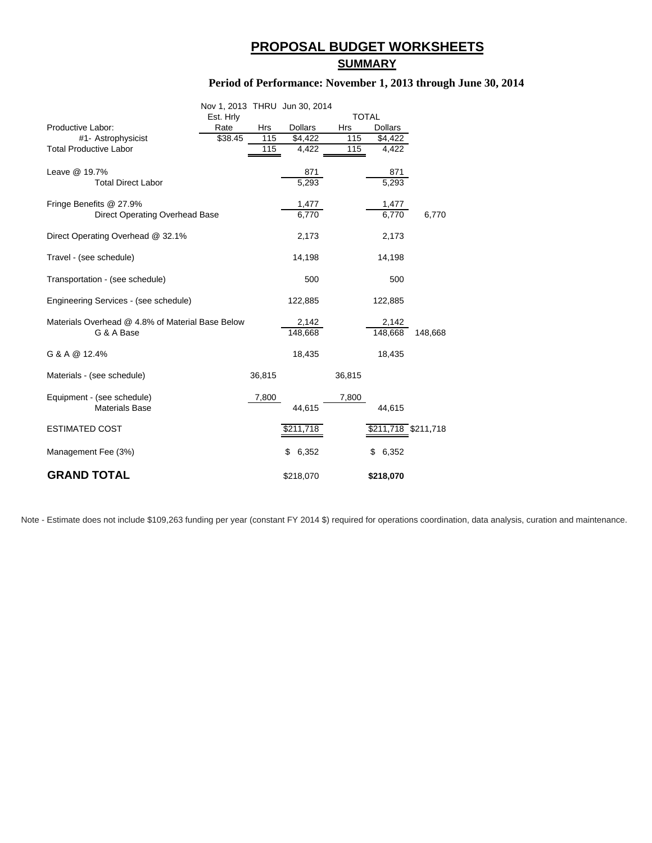### **PROPOSAL BUDGET WORKSHEETS**

#### **SUMMARY**

#### **Period of Performance: November 1, 2013 through June 30, 2014**

|                                                  | Nov 1, 2013 THRU Jun 30, 2014 |            |                    |        |                     |         |
|--------------------------------------------------|-------------------------------|------------|--------------------|--------|---------------------|---------|
|                                                  | Est. Hrly                     |            |                    |        | <b>TOTAL</b>        |         |
| Productive Labor:                                | Rate                          | <b>Hrs</b> | <b>Dollars</b>     | Hrs    | <b>Dollars</b>      |         |
| #1- Astrophysicist                               | \$38.45                       | 115        | \$4,422            | 115    | \$4,422             |         |
| <b>Total Productive Labor</b>                    |                               | 115        | 4,422              | 115    | 4,422               |         |
|                                                  |                               |            |                    |        |                     |         |
| Leave @ 19.7%                                    |                               |            | 871                |        | 871                 |         |
| <b>Total Direct Labor</b>                        |                               |            | $\overline{5,}293$ |        | 5,293               |         |
|                                                  |                               |            |                    |        |                     |         |
| Fringe Benefits @ 27.9%                          |                               |            | 1,477              |        | 1,477               |         |
| Direct Operating Overhead Base                   |                               |            | 6,770              |        | 6,770               | 6,770   |
|                                                  |                               |            |                    |        |                     |         |
| Direct Operating Overhead @ 32.1%                |                               |            | 2,173              |        | 2,173               |         |
|                                                  |                               |            |                    |        |                     |         |
| Travel - (see schedule)                          |                               |            | 14,198             |        | 14,198              |         |
|                                                  |                               |            |                    |        |                     |         |
| Transportation - (see schedule)                  |                               |            | 500                |        | 500                 |         |
|                                                  |                               |            |                    |        |                     |         |
| Engineering Services - (see schedule)            |                               |            | 122,885            |        | 122,885             |         |
|                                                  |                               |            |                    |        |                     |         |
| Materials Overhead @ 4.8% of Material Base Below |                               |            | 2,142              |        | 2,142               |         |
| G & A Base                                       |                               |            | 148,668            |        | 148,668             | 148,668 |
|                                                  |                               |            |                    |        |                     |         |
| G & A @ 12.4%                                    |                               |            | 18,435             |        | 18,435              |         |
|                                                  |                               |            |                    |        |                     |         |
| Materials - (see schedule)                       |                               | 36,815     |                    | 36,815 |                     |         |
|                                                  |                               |            |                    |        |                     |         |
| Equipment - (see schedule)                       |                               | 7,800      |                    | 7,800  |                     |         |
| <b>Materials Base</b>                            |                               |            | 44,615             |        | 44,615              |         |
|                                                  |                               |            |                    |        |                     |         |
| <b>ESTIMATED COST</b>                            |                               |            | \$211,718          |        | \$211,718 \$211,718 |         |
|                                                  |                               |            |                    |        |                     |         |
| Management Fee (3%)                              |                               |            | \$<br>6,352        |        | 6,352<br>\$         |         |
|                                                  |                               |            |                    |        |                     |         |
| <b>GRAND TOTAL</b>                               |                               |            | \$218,070          |        | \$218,070           |         |

Note - Estimate does not include \$109,263 funding per year (constant FY 2014 \$) required for operations coordination, data analysis, curation and maintenance.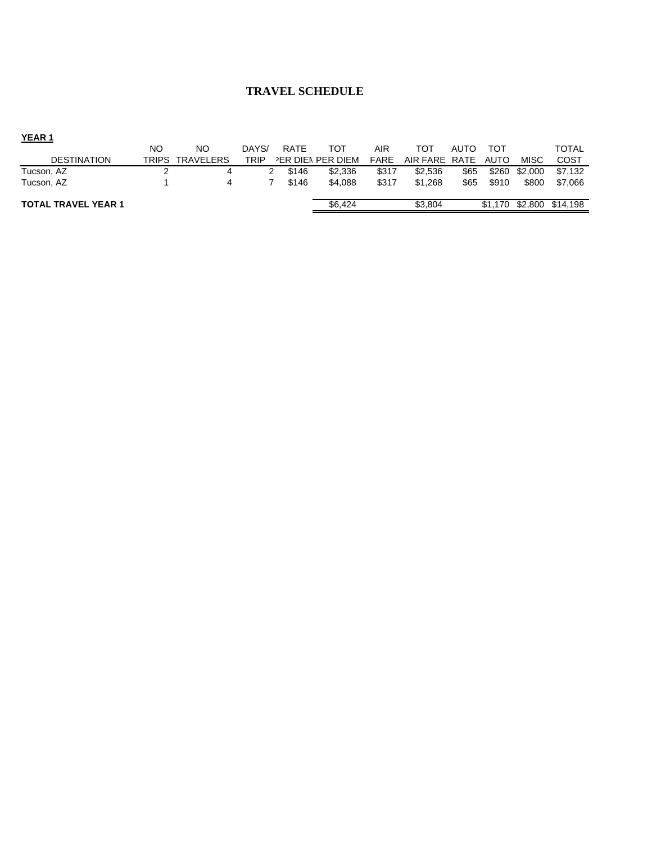#### **TRAVEL SCHEDULE**

| YEAR <sub>1</sub>          |       |                  |       |             |                   |             |          |      |         |             |              |
|----------------------------|-------|------------------|-------|-------------|-------------------|-------------|----------|------|---------|-------------|--------------|
|                            | NO    | NO               | DAYS/ | <b>RATE</b> | тот               | AIR         | тот      | AUTO | TOT     |             | <b>TOTAL</b> |
| <b>DESTINATION</b>         | TRIPS | <b>TRAVELERS</b> | TRIP  |             | PER DIEN PER DIEM | <b>FARE</b> | AIR FARE | RATE | AUTO    | <b>MISC</b> | COST         |
| Tucson, AZ                 |       |                  |       | \$146       | \$2,336           | \$317       | \$2.536  | \$65 | \$260   | \$2,000     | \$7.132      |
| Tucson, AZ                 |       |                  |       | \$146       | \$4.088           | \$317       | \$1.268  | \$65 | \$910   | \$800       | \$7.066      |
| <b>TOTAL TRAVEL YEAR 1</b> |       |                  |       |             | \$6,424           |             | \$3,804  |      | \$1,170 | \$2,800     | \$14.198     |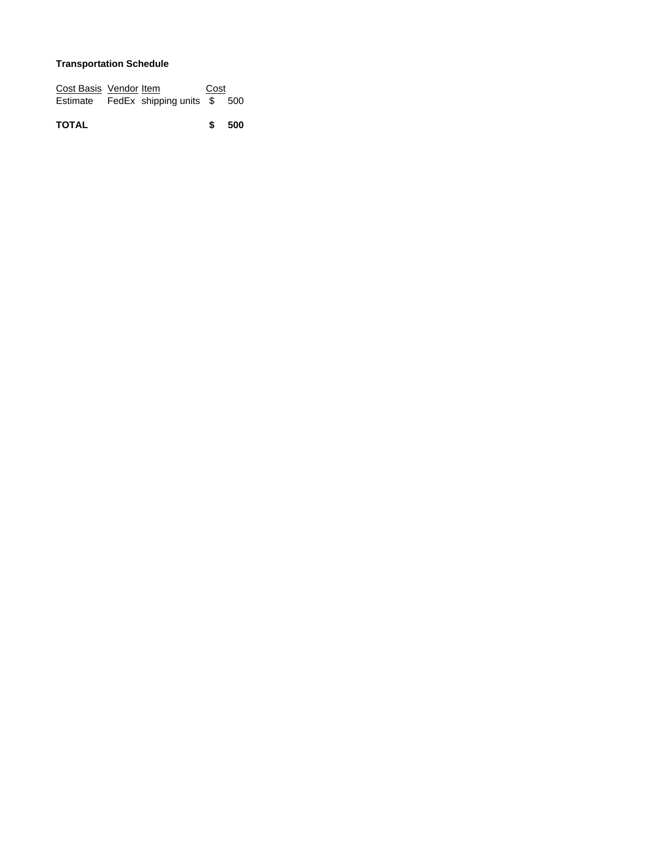#### **Transportation Schedule**

| Cost Basis Vendor Item |                             | Cost |  |
|------------------------|-----------------------------|------|--|
| Estimate               | FedEx shipping units \$ 500 |      |  |

**TOTAL 500 \$**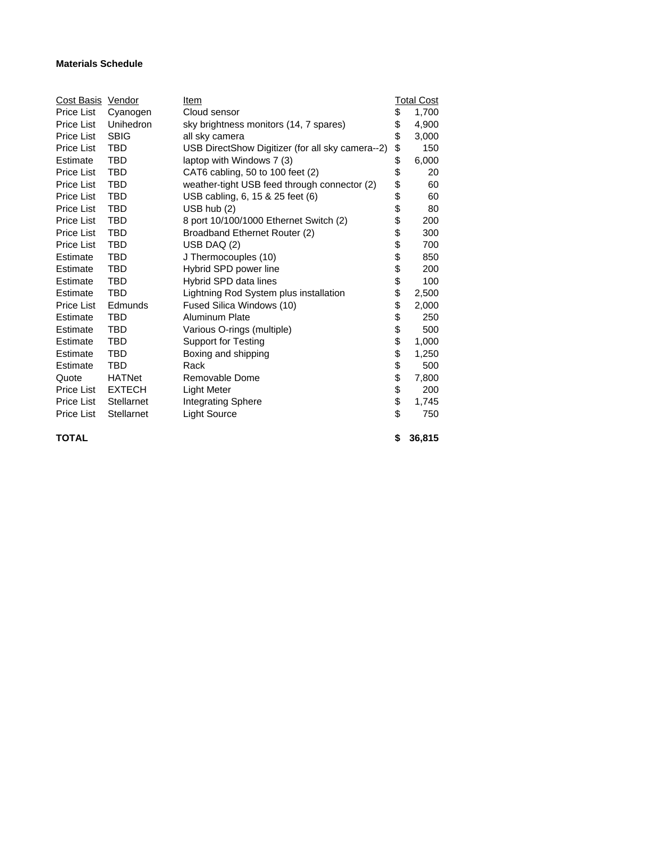#### **Materials Schedule**

| Cost Basis Vendor |               | Item                                             |          | Total Cost |
|-------------------|---------------|--------------------------------------------------|----------|------------|
| Price List        | Cyanogen      | Cloud sensor                                     | \$       | 1,700      |
| Price List        | Unihedron     | sky brightness monitors (14, 7 spares)           | \$       | 4,900      |
| Price List        | <b>SBIG</b>   | all sky camera                                   | \$       | 3,000      |
| Price List        | TBD           | USB DirectShow Digitizer (for all sky camera--2) | \$       | 150        |
| Estimate          | TBD           | laptop with Windows 7 (3)                        | \$       | 6,000      |
| <b>Price List</b> | TBD           | CAT6 cabling, 50 to 100 feet (2)                 | \$       | 20         |
| <b>Price List</b> | TBD           | weather-tight USB feed through connector (2)     | \$       | 60         |
| Price List        | <b>TBD</b>    | USB cabling, 6, 15 & 25 feet (6)                 | \$<br>\$ | 60         |
| <b>Price List</b> | TBD           | $USB$ hub $(2)$                                  |          | 80         |
| <b>Price List</b> | <b>TBD</b>    | 8 port 10/100/1000 Ethernet Switch (2)           | \$       | 200        |
| Price List        | TBD           | Broadband Ethernet Router (2)                    | \$       | 300        |
| <b>Price List</b> | TBD           | USB DAQ (2)                                      | \$       | 700        |
| Estimate          | TBD           | J Thermocouples (10)                             | \$       | 850        |
| Estimate          | <b>TBD</b>    | Hybrid SPD power line                            | \$       | 200        |
| Estimate          | TBD           | Hybrid SPD data lines                            | \$       | 100        |
| Estimate          | TBD           | Lightning Rod System plus installation           | \$       | 2,500      |
| <b>Price List</b> | Edmunds       | Fused Silica Windows (10)                        | \$       | 2,000      |
| Estimate          | TBD           | Aluminum Plate                                   | \$       | 250        |
| Estimate          | TBD           | Various O-rings (multiple)                       | \$       | 500        |
| Estimate          | TBD           | <b>Support for Testing</b>                       |          | 1,000      |
| Estimate          | TBD           | Boxing and shipping                              | \$       | 1,250      |
| Estimate          | TBD           | Rack                                             | \$       | 500        |
| Quote             | <b>HATNet</b> | Removable Dome                                   | \$       | 7,800      |
| Price List        | <b>EXTECH</b> | Light Meter                                      | \$       | 200        |
| Price List        | Stellarnet    | <b>Integrating Sphere</b>                        | \$       | 1,745      |
| <b>Price List</b> | Stellarnet    | <b>Light Source</b>                              | \$       | 750        |
| <b>TOTAL</b>      |               |                                                  | \$       | 36,815     |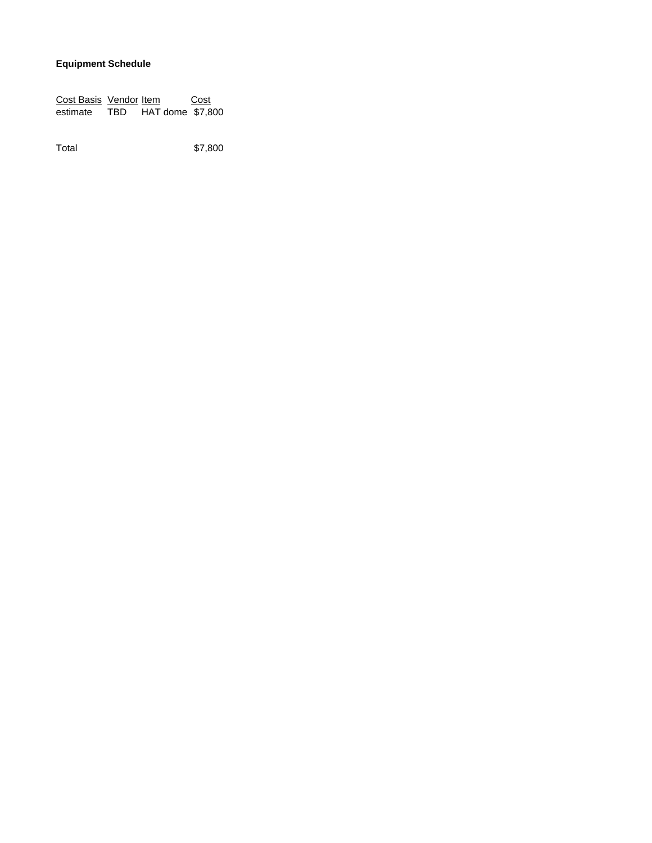#### **Equipment Schedule**

**Cost Basis Vendor Item Cost** estimate TBD HAT dome \$7,800

Total \$7,800